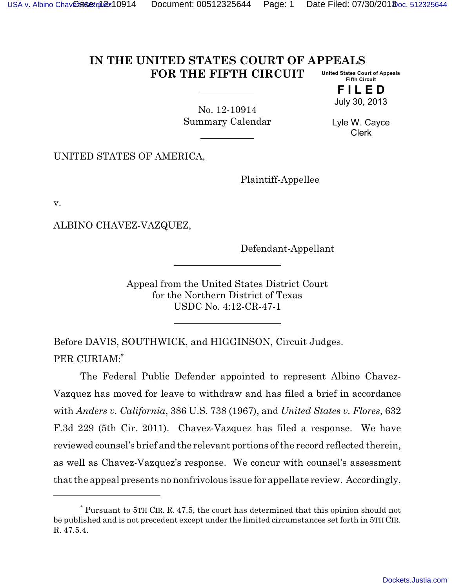## **IN THE UNITED STATES COURT OF APPEALS FOR THE FIFTH CIRCUIT United States Court of Appeals Fifth Circuit**

**F I L E D** July 30, 2013

No. 12-10914 Summary Calendar

Lyle W. Cayce Clerk

UNITED STATES OF AMERICA,

Plaintiff-Appellee

v.

ALBINO CHAVEZ-VAZQUEZ,

Defendant-Appellant

Appeal from the United States District Court for the Northern District of Texas USDC No. 4:12-CR-47-1

Before DAVIS, SOUTHWICK, and HIGGINSON, Circuit Judges. PER CURIAM:\*

The Federal Public Defender appointed to represent Albino Chavez-Vazquez has moved for leave to withdraw and has filed a brief in accordance with *Anders v. California*, 386 U.S. 738 (1967), and *United States v. Flores*, 632 F.3d 229 (5th Cir. 2011). Chavez-Vazquez has filed a response. We have reviewed counsel's brief and the relevant portions of the record reflected therein, as well as Chavez-Vazquez's response. We concur with counsel's assessment that the appeal presents no nonfrivolous issue for appellate review. Accordingly,

<sup>\*</sup> Pursuant to 5TH CIR. R. 47.5, the court has determined that this opinion should not be published and is not precedent except under the limited circumstances set forth in 5TH CIR. R. 47.5.4.